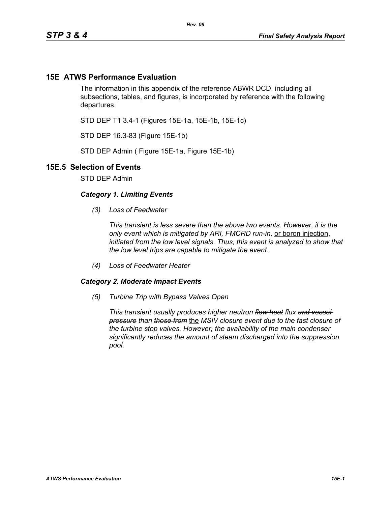## **15E ATWS Performance Evaluation**

The information in this appendix of the reference ABWR DCD, including all subsections, tables, and figures, is incorporated by reference with the following departures.

STD DEP T1 3.4-1 (Figures 15E-1a, 15E-1b, 15E-1c)

STD DEP 16.3-83 (Figure 15E-1b)

STD DEP Admin ( Figure 15E-1a, Figure 15E-1b)

## **15E.5 Selection of Events**

STD DEP Admin

## *Category 1. Limiting Events*

*(3) Loss of Feedwater*

*This transient is less severe than the above two events. However, it is the only event which is mitigated by ARI, FMCRD run-in,* or boron injection, *initiated from the low level signals. Thus, this event is analyzed to show that the low level trips are capable to mitigate the event.*

*(4) Loss of Feedwater Heater*

## *Category 2. Moderate Impact Events*

*(5) Turbine Trip with Bypass Valves Open*

*This transient usually produces higher neutron flow heat flux and vessel pressure than those from* the *MSIV closure event due to the fast closure of the turbine stop valves. However, the availability of the main condenser significantly reduces the amount of steam discharged into the suppression pool.*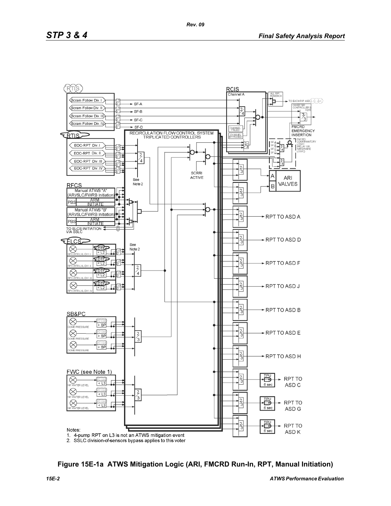

**Figure 15E-1a ATWS Mitigation Logic (ARI, FMCRD Run-In, RPT, Manual Initiation)**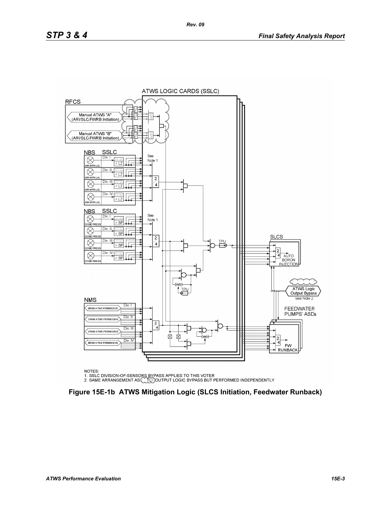

NOTES:

NOTES.<br>1. SSLC DIVISION-OF-SENSORS BYPASS APPLIES TO THIS VOTER<br>2. SAME ARRANGEMENT AS CLEIGOUTPUT LOGIC BYPASS BUT PERFORMED INDEPENDENTLY

**Figure 15E-1b ATWS Mitigation Logic (SLCS Initiation, Feedwater Runback)**